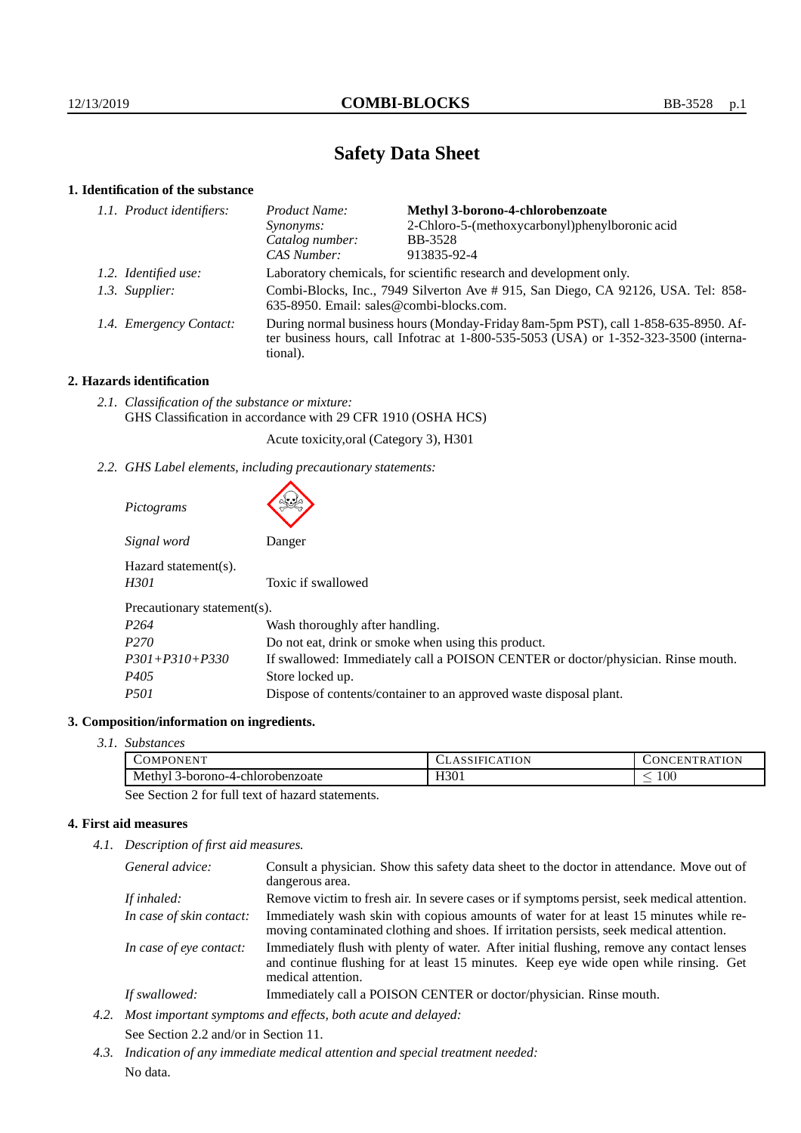# **Safety Data Sheet**

# **1. Identification of the substance**

| 1.1. Product identifiers: | Product Name:                                                                                                                                                                               | Methyl 3-borono-4-chlorobenzoate               |
|---------------------------|---------------------------------------------------------------------------------------------------------------------------------------------------------------------------------------------|------------------------------------------------|
|                           | Synonyms:                                                                                                                                                                                   | 2-Chloro-5-(methoxycarbonyl)phenylboronic acid |
|                           | Catalog number:                                                                                                                                                                             | <b>BB-3528</b>                                 |
|                           | CAS Number:                                                                                                                                                                                 | 913835-92-4                                    |
| 1.2. Identified use:      | Laboratory chemicals, for scientific research and development only.                                                                                                                         |                                                |
| 1.3. Supplier:            | Combi-Blocks, Inc., 7949 Silverton Ave # 915, San Diego, CA 92126, USA. Tel: 858-<br>635-8950. Email: sales@combi-blocks.com.                                                               |                                                |
| 1.4. Emergency Contact:   | During normal business hours (Monday-Friday 8am-5pm PST), call 1-858-635-8950. Af-<br>ter business hours, call Infotrac at $1-800-535-5053$ (USA) or $1-352-323-3500$ (interna-<br>tional). |                                                |

# **2. Hazards identification**

*2.1. Classification of the substance or mixture:* GHS Classification in accordance with 29 CFR 1910 (OSHA HCS)

Acute toxicity,oral (Category 3), H301

*2.2. GHS Label elements, including precautionary statements:*

| Pictograms                   |                                                                                  |
|------------------------------|----------------------------------------------------------------------------------|
| Signal word                  | Danger                                                                           |
| Hazard statement(s).<br>H301 | Toxic if swallowed                                                               |
| Precautionary statement(s).  |                                                                                  |
| P <sub>264</sub>             | Wash thoroughly after handling.                                                  |
| P <sub>270</sub>             | Do not eat, drink or smoke when using this product.                              |
| $P301 + P310 + P330$         | If swallowed: Immediately call a POISON CENTER or doctor/physician. Rinse mouth. |
| P <sub>405</sub>             | Store locked up.                                                                 |
| <i>P501</i>                  | Dispose of contents/container to an approved waste disposal plant.               |

## **3. Composition/information on ingredients.**

*3.1. Substances*

| <b>ATT</b><br>-OMPL<br>PONEN <sub>1</sub>                           | <b>\TION</b><br>$A_1$<br>ээнис | :RATION<br>ו או<br>N                |  |
|---------------------------------------------------------------------|--------------------------------|-------------------------------------|--|
| n-borono-4-ch<br>Meth T<br>-chlorobenzoate                          | H301<br>____                   | $100\,$<br>$\overline{\phantom{a}}$ |  |
| $\sim$ $\sim$<br>$\sim$ $\sim$<br>$\sim$<br>$\sim$<br>$\sim$ $\sim$ |                                |                                     |  |

See Section 2 for full text of hazard statements.

# **4. First aid measures**

*4.1. Description of first aid measures.*

| General advice:          | Consult a physician. Show this safety data sheet to the doctor in attendance. Move out of<br>dangerous area.                                                                                            |
|--------------------------|---------------------------------------------------------------------------------------------------------------------------------------------------------------------------------------------------------|
| If inhaled:              | Remove victim to fresh air. In severe cases or if symptoms persist, seek medical attention.                                                                                                             |
| In case of skin contact: | Immediately wash skin with copious amounts of water for at least 15 minutes while re-<br>moving contaminated clothing and shoes. If irritation persists, seek medical attention.                        |
| In case of eye contact:  | Immediately flush with plenty of water. After initial flushing, remove any contact lenses<br>and continue flushing for at least 15 minutes. Keep eye wide open while rinsing. Get<br>medical attention. |
| If swallowed:            | Immediately call a POISON CENTER or doctor/physician. Rinse mouth.                                                                                                                                      |

- *4.2. Most important symptoms and effects, both acute and delayed:* See Section 2.2 and/or in Section 11.
- *4.3. Indication of any immediate medical attention and special treatment needed:* No data.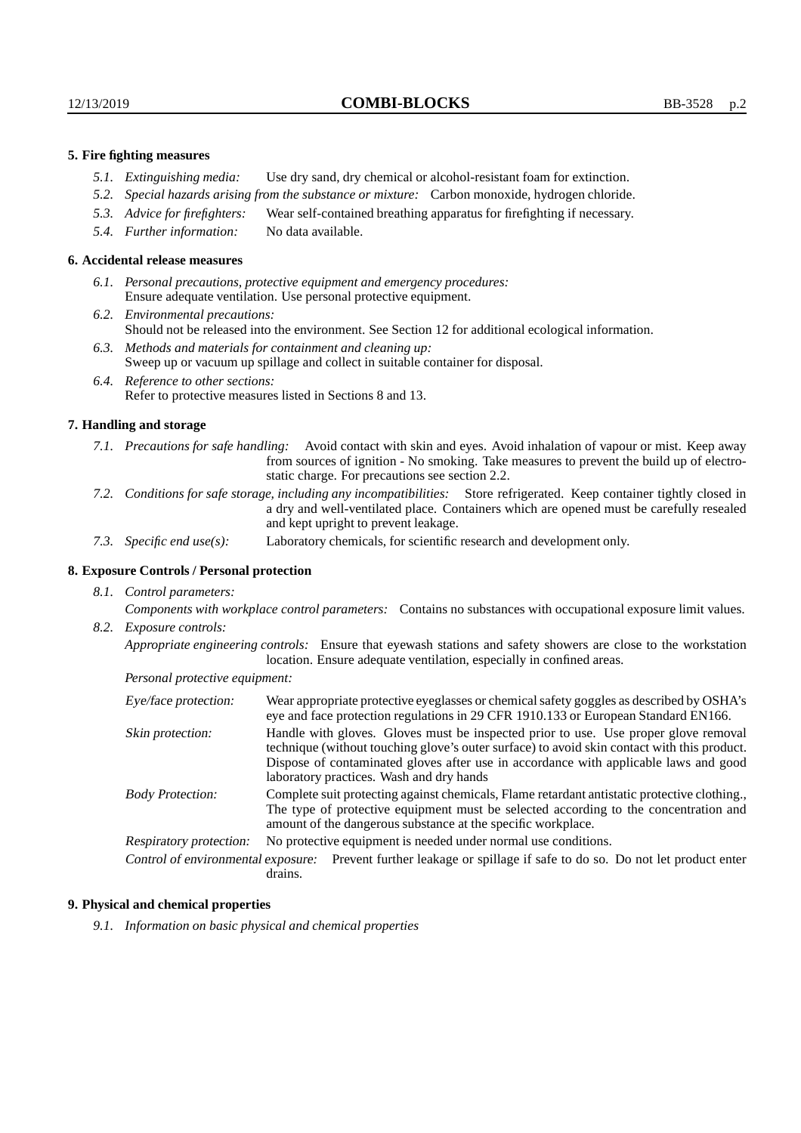### **5. Fire fighting measures**

- *5.1. Extinguishing media:* Use dry sand, dry chemical or alcohol-resistant foam for extinction.
- *5.2. Special hazards arising from the substance or mixture:* Carbon monoxide, hydrogen chloride.
- *5.3. Advice for firefighters:* Wear self-contained breathing apparatus for firefighting if necessary.
- *5.4. Further information:* No data available.

#### **6. Accidental release measures**

- *6.1. Personal precautions, protective equipment and emergency procedures:* Ensure adequate ventilation. Use personal protective equipment.
- *6.2. Environmental precautions:* Should not be released into the environment. See Section 12 for additional ecological information.
- *6.3. Methods and materials for containment and cleaning up:* Sweep up or vacuum up spillage and collect in suitable container for disposal.
- *6.4. Reference to other sections:* Refer to protective measures listed in Sections 8 and 13.

#### **7. Handling and storage**

- *7.1. Precautions for safe handling:* Avoid contact with skin and eyes. Avoid inhalation of vapour or mist. Keep away from sources of ignition - No smoking. Take measures to prevent the build up of electrostatic charge. For precautions see section 2.2.
- *7.2. Conditions for safe storage, including any incompatibilities:* Store refrigerated. Keep container tightly closed in a dry and well-ventilated place. Containers which are opened must be carefully resealed and kept upright to prevent leakage.
- *7.3. Specific end use(s):* Laboratory chemicals, for scientific research and development only.

# **8. Exposure Controls / Personal protection**

*8.1. Control parameters:*

*Components with workplace control parameters:* Contains no substances with occupational exposure limit values. *8.2. Exposure controls:*

*Appropriate engineering controls:* Ensure that eyewash stations and safety showers are close to the workstation location. Ensure adequate ventilation, especially in confined areas.

*Personal protective equipment:*

| Eye/face protection:    | Wear appropriate protective eyeglasses or chemical safety goggles as described by OSHA's<br>eye and face protection regulations in 29 CFR 1910.133 or European Standard EN166.                                                                                                                                         |  |  |  |
|-------------------------|------------------------------------------------------------------------------------------------------------------------------------------------------------------------------------------------------------------------------------------------------------------------------------------------------------------------|--|--|--|
| Skin protection:        | Handle with gloves. Gloves must be inspected prior to use. Use proper glove removal<br>technique (without touching glove's outer surface) to avoid skin contact with this product.<br>Dispose of contaminated gloves after use in accordance with applicable laws and good<br>laboratory practices. Wash and dry hands |  |  |  |
| <b>Body Protection:</b> | Complete suit protecting against chemicals, Flame retardant antistatic protective clothing.,<br>The type of protective equipment must be selected according to the concentration and<br>amount of the dangerous substance at the specific workplace.                                                                   |  |  |  |
| Respiratory protection: | No protective equipment is needed under normal use conditions.                                                                                                                                                                                                                                                         |  |  |  |
|                         | Control of environmental exposure: Prevent further leakage or spillage if safe to do so. Do not let product enter<br>drains.                                                                                                                                                                                           |  |  |  |

### **9. Physical and chemical properties**

*9.1. Information on basic physical and chemical properties*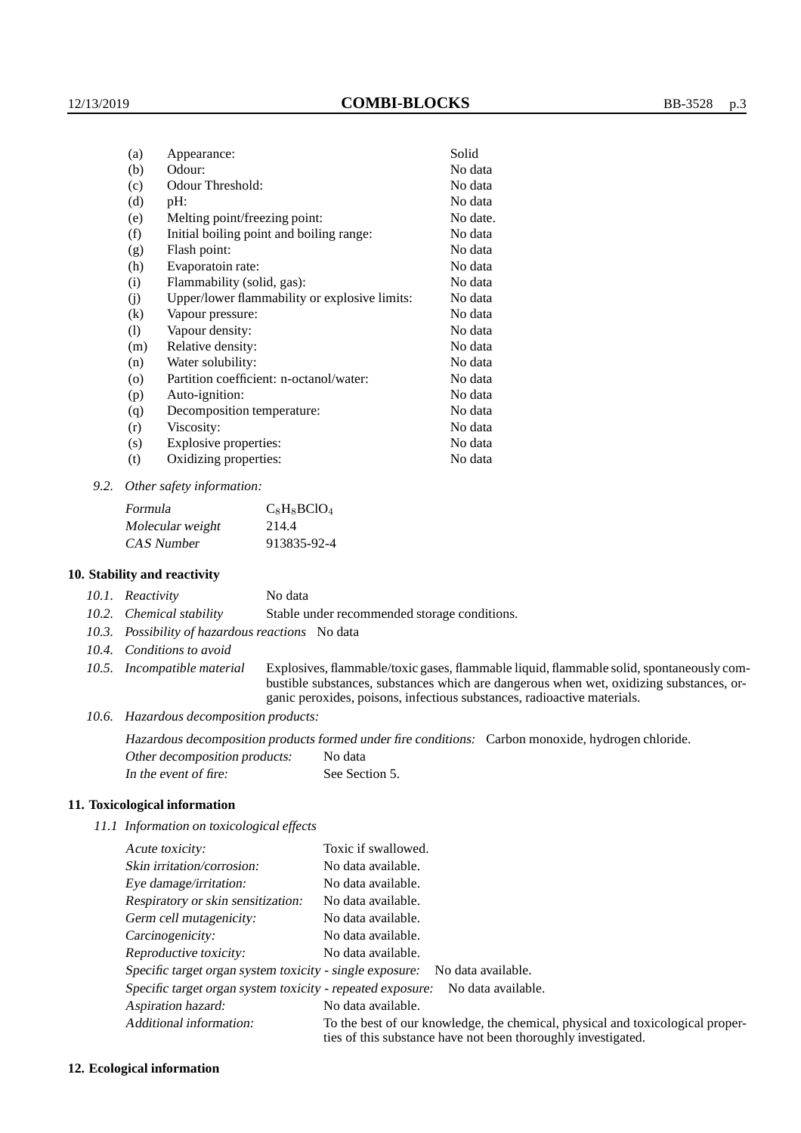| (a)                          | Appearance:                                   | Solid    |
|------------------------------|-----------------------------------------------|----------|
| (b)                          | Odour:                                        | No data  |
| (c)                          | Odour Threshold:                              | No data  |
| (d)                          | pH:                                           | No data  |
| (e)                          | Melting point/freezing point:                 | No date. |
| (f)                          | Initial boiling point and boiling range:      | No data  |
| (g)                          | Flash point:                                  | No data  |
| (h)                          | Evaporatoin rate:                             | No data  |
| (i)                          | Flammability (solid, gas):                    | No data  |
| (i)                          | Upper/lower flammability or explosive limits: | No data  |
| $\rm(k)$                     | Vapour pressure:                              | No data  |
| $\left( \frac{1}{2} \right)$ | Vapour density:                               | No data  |
| (m)                          | Relative density:                             | No data  |
| (n)                          | Water solubility:                             | No data  |
| $\circ$                      | Partition coefficient: n-octanol/water:       | No data  |
| (p)                          | Auto-ignition:                                | No data  |
| (q)                          | Decomposition temperature:                    | No data  |
| (r)                          | Viscosity:                                    | No data  |
| (s)                          | Explosive properties:                         | No data  |
| (t)                          | Oxidizing properties:                         | No data  |
|                              |                                               |          |

*9.2. Other safety information:*

| Formula          | $C_8$ H <sub>8</sub> BClO <sub>4</sub> |
|------------------|----------------------------------------|
| Molecular weight | 214.4                                  |
| CAS Number       | 913835-92-4                            |

### **10. Stability and reactivity**

| 10.1. Reactivity         | No data                                      |
|--------------------------|----------------------------------------------|
| 10.2. Chemical stability | Stable under recommended storage conditions. |

- *10.3. Possibility of hazardous reactions* No data
- *10.4. Conditions to avoid*
- *10.5. Incompatible material* Explosives, flammable/toxic gases, flammable liquid, flammable solid, spontaneously combustible substances, substances which are dangerous when wet, oxidizing substances, organic peroxides, poisons, infectious substances, radioactive materials.
- *10.6. Hazardous decomposition products:*

Hazardous decomposition products formed under fire conditions: Carbon monoxide, hydrogen chloride. Other decomposition products: No data

| In the event of fire: |  | See Section 5. |
|-----------------------|--|----------------|

### **11. Toxicological information**

*11.1 Information on toxicological effects*

| Acute toxicity:                                            | Toxic if swallowed.                                                                                                                             |  |
|------------------------------------------------------------|-------------------------------------------------------------------------------------------------------------------------------------------------|--|
| Skin irritation/corrosion:                                 | No data available.                                                                                                                              |  |
| Eye damage/irritation:                                     | No data available.                                                                                                                              |  |
| Respiratory or skin sensitization:                         | No data available.                                                                                                                              |  |
| Germ cell mutagenicity:                                    | No data available.                                                                                                                              |  |
| Carcinogenicity:                                           | No data available.                                                                                                                              |  |
| Reproductive toxicity:                                     | No data available.                                                                                                                              |  |
|                                                            | Specific target organ system toxicity - single exposure: No data available.                                                                     |  |
| Specific target organ system toxicity - repeated exposure: | No data available.                                                                                                                              |  |
| Aspiration hazard:                                         | No data available.                                                                                                                              |  |
| Additional information:                                    | To the best of our knowledge, the chemical, physical and toxicological proper-<br>ties of this substance have not been thoroughly investigated. |  |

### **12. Ecological information**